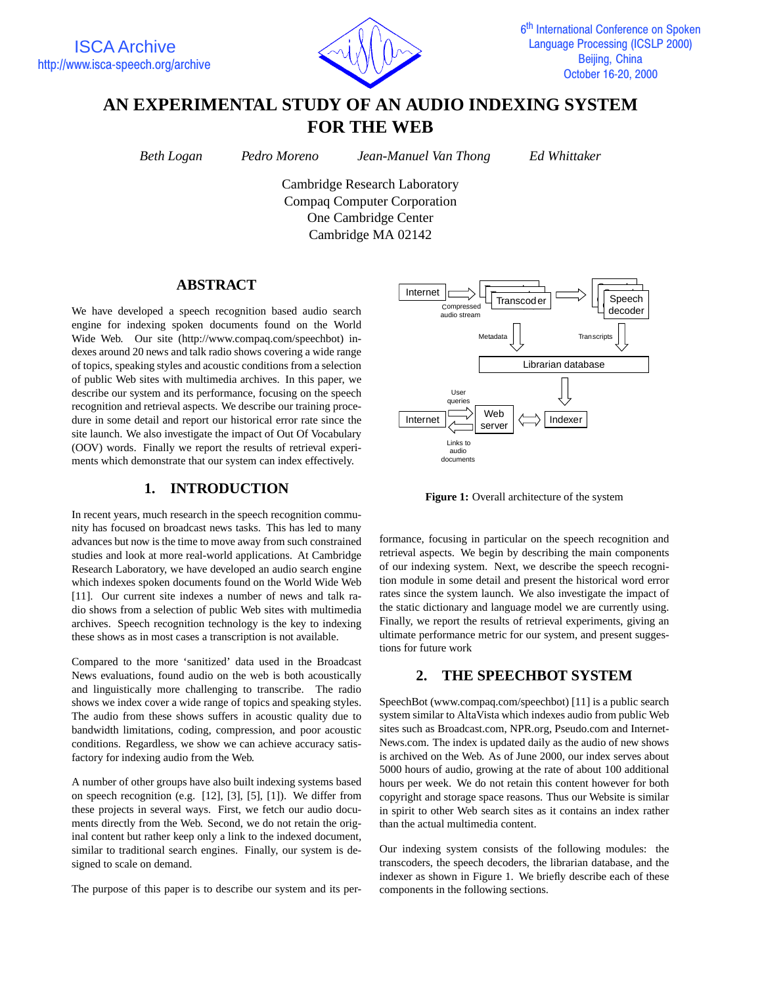

# **AN EXPERIMENTAL STUDY OF AN AUDIO INDEXING SYSTEM FOR THE WEB**

*Beth Logan Pedro Moreno Jean-Manuel Van Thong Ed Whittaker*

Cambridge Research Laboratory Compaq Computer Corporation One Cambridge Center Cambridge MA 02142

# **ABSTRACT**

We have developed a speech recognition based audio search engine for indexing spoken documents found on the World Wide Web. Our site (http://www.compaq.com/speechbot) indexes around 20 news and talk radio shows covering a wide range of topics, speaking styles and acoustic conditions from a selection of public Web sites with multimedia archives. In this paper, we describe our system and its performance, focusing on the speech recognition and retrieval aspects. We describe our training procedure in some detail and report our historical error rate since the site launch. We also investigate the impact of Out Of Vocabulary (OOV) words. Finally we report the results of retrieval experiments which demonstrate that our system can index effectively.

# **1. INTRODUCTION**

In recent years, much research in the speech recognition community has focused on broadcast news tasks. This has led to many advances but now is the time to move away from such constrained studies and look at more real-world applications. At Cambridge Research Laboratory, we have developed an audio search engine which indexes spoken documents found on the World Wide Web [11]. Our current site indexes a number of news and talk radio shows from a selection of public Web sites with multimedia archives. Speech recognition technology is the key to indexing these shows as in most cases a transcription is not available.

Compared to the more 'sanitized' data used in the Broadcast News evaluations, found audio on the web is both acoustically and linguistically more challenging to transcribe. The radio shows we index cover a wide range of topics and speaking styles. The audio from these shows suffers in acoustic quality due to bandwidth limitations, coding, compression, and poor acoustic conditions. Regardless, we show we can achieve accuracy satisfactory for indexing audio from the Web.

A number of other groups have also built indexing systems based on speech recognition (e.g. [12], [3], [5], [1]). We differ from these projects in several ways. First, we fetch our audio documents directly from the Web. Second, we do not retain the original content but rather keep only a link to the indexed document, similar to traditional search engines. Finally, our system is designed to scale on demand.

The purpose of this paper is to describe our system and its per-



**Figure 1:** Overall architecture of the system

formance, focusing in particular on the speech recognition and retrieval aspects. We begin by describing the main components of our indexing system. Next, we describe the speech recognition module in some detail and present the historical word error rates since the system launch. We also investigate the impact of the static dictionary and language model we are currently using. Finally, we report the results of retrieval experiments, giving an ultimate performance metric for our system, and present suggestions for future work

# **2. THE SPEECHBOT SYSTEM**

SpeechBot (www.compaq.com/speechbot) [11] is a public search system similar to AltaVista which indexes audio from public Web sites such as Broadcast.com, NPR.org, Pseudo.com and Internet-News.com. The index is updated daily as the audio of new shows is archived on the Web. As of June 2000, our index serves about 5000 hours of audio, growing at the rate of about 100 additional hours per week. We do not retain this content however for both copyright and storage space reasons. Thus our Website is similar in spirit to other Web search sites as it contains an index rather than the actual multimedia content.

Our indexing system consists of the following modules: the transcoders, the speech decoders, the librarian database, and the indexer as shown in Figure 1. We briefly describe each of these components in the following sections.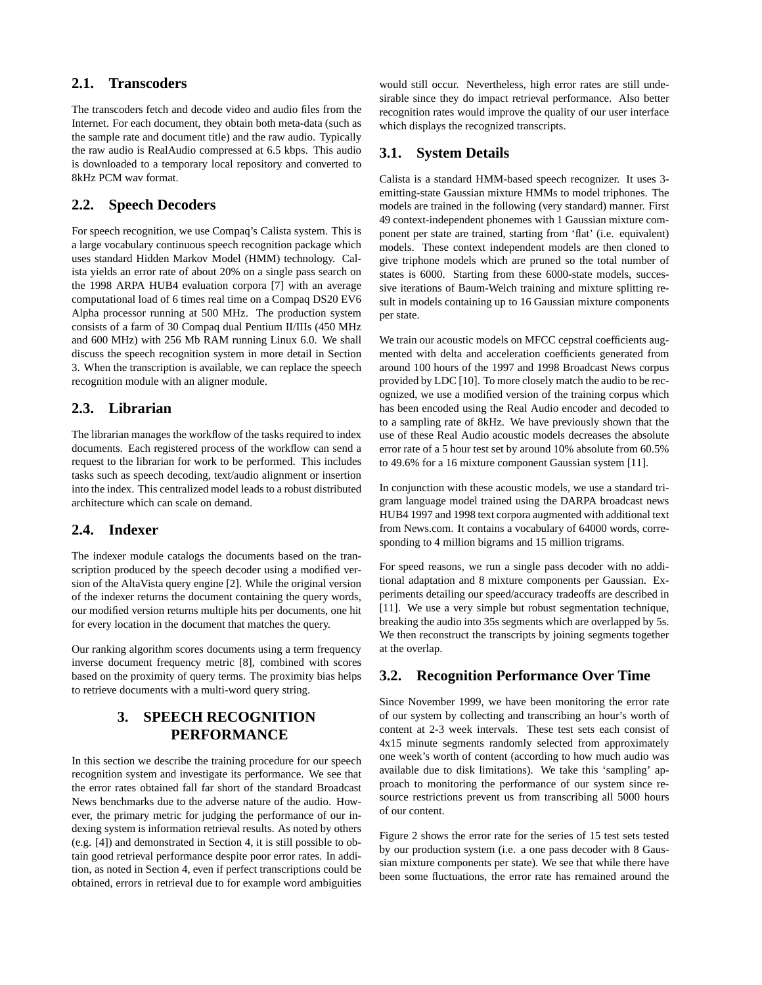## **2.1. Transcoders**

The transcoders fetch and decode video and audio files from the Internet. For each document, they obtain both meta-data (such as the sample rate and document title) and the raw audio. Typically the raw audio is RealAudio compressed at 6.5 kbps. This audio is downloaded to a temporary local repository and converted to 8kHz PCM wav format.

# **2.2. Speech Decoders**

For speech recognition, we use Compaq's Calista system. This is a large vocabulary continuous speech recognition package which uses standard Hidden Markov Model (HMM) technology. Calista yields an error rate of about 20% on a single pass search on the 1998 ARPA HUB4 evaluation corpora [7] with an average computational load of 6 times real time on a Compaq DS20 EV6 Alpha processor running at 500 MHz. The production system consists of a farm of 30 Compaq dual Pentium II/IIIs (450 MHz and 600 MHz) with 256 Mb RAM running Linux 6.0. We shall discuss the speech recognition system in more detail in Section 3. When the transcription is available, we can replace the speech recognition module with an aligner module.

### **2.3. Librarian**

The librarian manages the workflow of the tasks required to index documents. Each registered process of the workflow can send a request to the librarian for work to be performed. This includes tasks such as speech decoding, text/audio alignment or insertion into the index. This centralized model leads to a robust distributed architecture which can scale on demand.

### **2.4. Indexer**

The indexer module catalogs the documents based on the transcription produced by the speech decoder using a modified version of the AltaVista query engine [2]. While the original version of the indexer returns the document containing the query words, our modified version returns multiple hits per documents, one hit for every location in the document that matches the query.

Our ranking algorithm scores documents using a term frequency inverse document frequency metric [8], combined with scores based on the proximity of query terms. The proximity bias helps to retrieve documents with a multi-word query string.

# **3. SPEECH RECOGNITION PERFORMANCE**

In this section we describe the training procedure for our speech recognition system and investigate its performance. We see that the error rates obtained fall far short of the standard Broadcast News benchmarks due to the adverse nature of the audio. However, the primary metric for judging the performance of our indexing system is information retrieval results. As noted by others (e.g. [4]) and demonstrated in Section 4, it is still possible to obtain good retrieval performance despite poor error rates. In addition, as noted in Section 4, even if perfect transcriptions could be obtained, errors in retrieval due to for example word ambiguities would still occur. Nevertheless, high error rates are still undesirable since they do impact retrieval performance. Also better recognition rates would improve the quality of our user interface which displays the recognized transcripts.

### **3.1. System Details**

Calista is a standard HMM-based speech recognizer. It uses 3 emitting-state Gaussian mixture HMMs to model triphones. The models are trained in the following (very standard) manner. First 49 context-independent phonemes with 1 Gaussian mixture component per state are trained, starting from 'flat' (i.e. equivalent) models. These context independent models are then cloned to give triphone models which are pruned so the total number of states is 6000. Starting from these 6000-state models, successive iterations of Baum-Welch training and mixture splitting result in models containing up to 16 Gaussian mixture components per state.

We train our acoustic models on MFCC cepstral coefficients augmented with delta and acceleration coefficients generated from around 100 hours of the 1997 and 1998 Broadcast News corpus provided by LDC [10]. To more closely match the audio to be recognized, we use a modified version of the training corpus which has been encoded using the Real Audio encoder and decoded to to a sampling rate of 8kHz. We have previously shown that the use of these Real Audio acoustic models decreases the absolute error rate of a 5 hour test set by around 10% absolute from 60.5% to 49.6% for a 16 mixture component Gaussian system [11].

In conjunction with these acoustic models, we use a standard trigram language model trained using the DARPA broadcast news HUB4 1997 and 1998 text corpora augmented with additional text from News.com. It contains a vocabulary of 64000 words, corresponding to 4 million bigrams and 15 million trigrams.

For speed reasons, we run a single pass decoder with no additional adaptation and 8 mixture components per Gaussian. Experiments detailing our speed/accuracy tradeoffs are described in [11]. We use a very simple but robust segmentation technique, breaking the audio into 35s segments which are overlapped by 5s. We then reconstruct the transcripts by joining segments together at the overlap.

### **3.2. Recognition Performance Over Time**

Since November 1999, we have been monitoring the error rate of our system by collecting and transcribing an hour's worth of content at 2-3 week intervals. These test sets each consist of 4x15 minute segments randomly selected from approximately one week's worth of content (according to how much audio was available due to disk limitations). We take this 'sampling' approach to monitoring the performance of our system since resource restrictions prevent us from transcribing all 5000 hours of our content.

Figure 2 shows the error rate for the series of 15 test sets tested by our production system (i.e. a one pass decoder with 8 Gaussian mixture components per state). We see that while there have been some fluctuations, the error rate has remained around the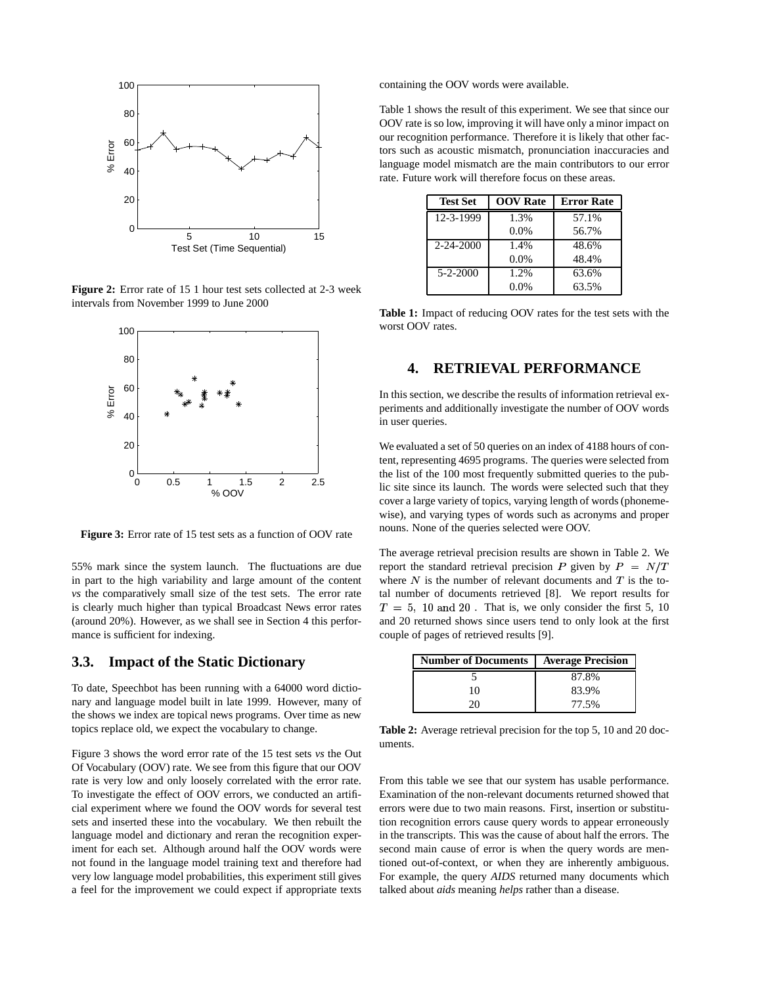

**Figure 2:** Error rate of 15 1 hour test sets collected at 2-3 week intervals from November 1999 to June 2000



**Figure 3:** Error rate of 15 test sets as a function of OOV rate

55% mark since the system launch. The fluctuations are due in part to the high variability and large amount of the content *vs* the comparatively small size of the test sets. The error rate is clearly much higher than typical Broadcast News error rates (around 20%). However, as we shall see in Section 4 this performance is sufficient for indexing.

#### **3.3. Impact of the Static Dictionary**

To date, Speechbot has been running with a 64000 word dictionary and language model built in late 1999. However, many of the shows we index are topical news programs. Over time as new topics replace old, we expect the vocabulary to change.

Figure 3 shows the word error rate of the 15 test sets *vs* the Out Of Vocabulary (OOV) rate. We see from this figure that our OOV rate is very low and only loosely correlated with the error rate. To investigate the effect of OOV errors, we conducted an artificial experiment where we found the OOV words for several test sets and inserted these into the vocabulary. We then rebuilt the language model and dictionary and reran the recognition experiment for each set. Although around half the OOV words were not found in the language model training text and therefore had very low language model probabilities, this experiment still gives a feel for the improvement we could expect if appropriate texts containing the OOV words were available.

Table 1 shows the result of this experiment. We see that since our OOV rate is so low, improving it will have only a minor impact on our recognition performance. Therefore it is likely that other factors such as acoustic mismatch, pronunciation inaccuracies and language model mismatch are the main contributors to our error rate. Future work will therefore focus on these areas.

| <b>Test Set</b> | <b>OOV</b> Rate | <b>Error Rate</b> |
|-----------------|-----------------|-------------------|
| 12-3-1999       | 1.3%            | 57.1%             |
|                 | 0.0%            | 56.7%             |
| $2 - 24 - 2000$ | 1.4%            | 48.6%             |
|                 | 0.0%            | 48.4%             |
| $5 - 2 - 2000$  | 1.2%            | 63.6%             |
|                 | $0.0\%$         | 63.5%             |

**Table 1:** Impact of reducing OOV rates for the test sets with the worst OOV rates.

# **4. RETRIEVAL PERFORMANCE**

In this section, we describe the results of information retrieval experiments and additionally investigate the number of OOV words in user queries.

We evaluated a set of 50 queries on an index of 4188 hours of content, representing 4695 programs. The queries were selected from the list of the 100 most frequently submitted queries to the public site since its launch. The words were selected such that they cover a large variety of topics, varying length of words(phonemewise), and varying types of words such as acronyms and proper nouns. None of the queries selected were OOV.

The average retrieval precision results are shown in Table 2. We report the standard retrieval precision P given by  $P = N/T$ where  $N$  is the number of relevant documents and  $T$  is the total number of documents retrieved [8]. We report results for  $T = 5$ , 10 and 20. That is, we only consider the first 5, 10 and 20 returned shows since users tend to only look at the first couple of pages of retrieved results [9].

| <b>Number of Documents</b> | <b>Average Precision</b> |  |
|----------------------------|--------------------------|--|
|                            | 87.8%                    |  |
| 10                         | 83.9%                    |  |
|                            | 77.5%                    |  |

**Table 2:** Average retrieval precision for the top 5, 10 and 20 documents.

From this table we see that our system has usable performance. Examination of the non-relevant documents returned showed that errors were due to two main reasons. First, insertion or substitution recognition errors cause query words to appear erroneously in the transcripts. This was the cause of about half the errors. The second main cause of error is when the query words are mentioned out-of-context, or when they are inherently ambiguous. For example, the query *AIDS* returned many documents which talked about *aids* meaning *helps* rather than a disease.